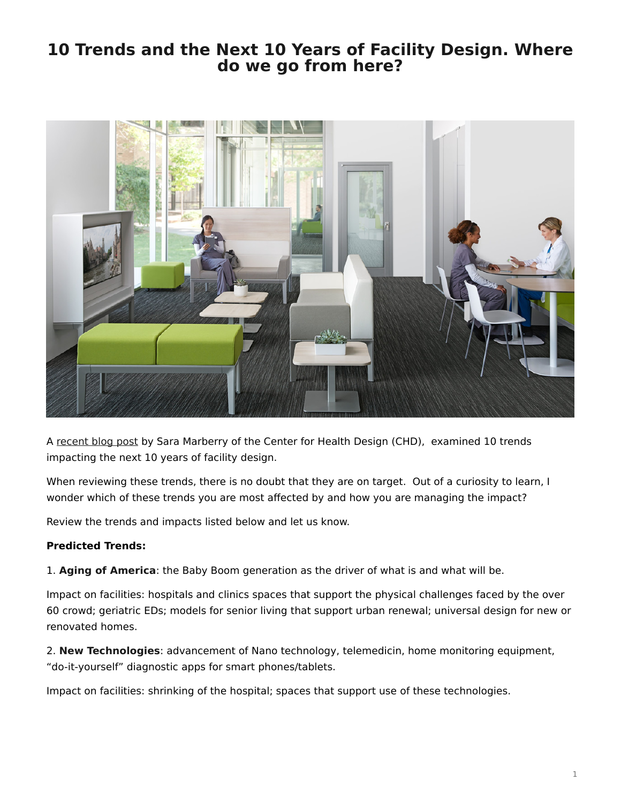## <span id="page-0-0"></span>**10 Trends and the Next 10 Years of Facility Design. Where do we go from here?**



A [recent blog post](http://blog.healthdesign.org/2011/10/) by Sara Marberry of the Center for Health Design (CHD), examined 10 trends impacting the next 10 years of facility design.

When reviewing these trends, there is no doubt that they are on target. Out of a curiosity to learn, I wonder which of these trends you are most affected by and how you are managing the impact?

Review the trends and impacts listed below and let us know.

## **Predicted Trends:**

1. **Aging of America**: the Baby Boom generation as the driver of what is and what will be.

Impact on facilities: hospitals and clinics spaces that support the physical challenges faced by the over 60 crowd; geriatric EDs; models for senior living that support urban renewal; universal design for new or renovated homes.

2. **New Technologies**: advancement of Nano technology, telemedicin, home monitoring equipment, "do-it-yourself" diagnostic apps for smart phones/tablets.

Impact on facilities: shrinking of the hospital; spaces that support use of these technologies.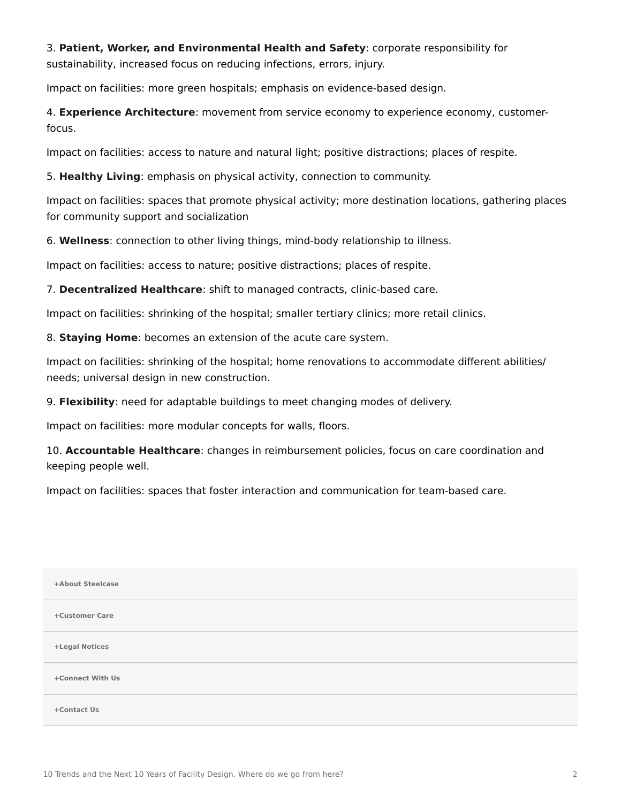3. **Patient, Worker, and Environmental Health and Safety**: corporate responsibility for sustainability, increased focus on reducing infections, errors, injury.

Impact on facilities: more green hospitals; emphasis on evidence-based design.

4. **Experience Architecture**: movement from service economy to experience economy, customerfocus.

Impact on facilities: access to nature and natural light; positive distractions; places of respite.

5. **Healthy Living**: emphasis on physical activity, connection to community.

Impact on facilities: spaces that promote physical activity; more destination locations, gathering places for community support and socialization

6. **Wellness**: connection to other living things, mind-body relationship to illness.

Impact on facilities: access to nature; positive distractions; places of respite.

7. **Decentralized Healthcare**: shift to managed contracts, clinic-based care.

Impact on facilities: shrinking of the hospital; smaller tertiary clinics; more retail clinics.

8. **Staying Home**: becomes an extension of the acute care system.

Impact on facilities: shrinking of the hospital; home renovations to accommodate different abilities/ needs; universal design in new construction.

9. **Flexibility**: need for adaptable buildings to meet changing modes of delivery.

Impact on facilities: more modular concepts for walls, floors.

10. **Accountable Healthcare**: changes in reimbursement policies, focus on care coordination and keeping people well.

Impact on facilities: spaces that foster interaction and communication for team-based care.

| +About Steelcase |
|------------------|
| +Customer Care   |
| +Legal Notices   |
| +Connect With Us |
| +Contact Us      |